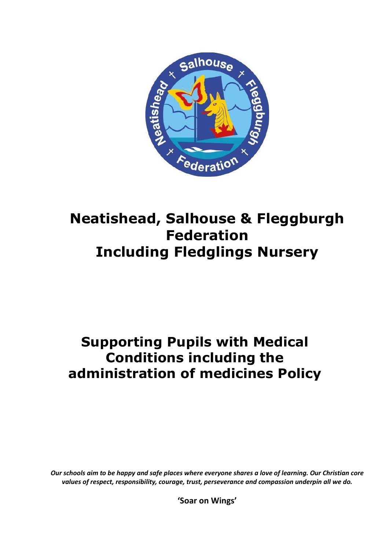

# **Neatishead, Salhouse & Fleggburgh Federation Including Fledglings Nursery**

## **Supporting Pupils with Medical Conditions including the administration of medicines Policy**

*Our schools aim to be happy and safe places where everyone shares a love of learning. Our Christian core values of respect, responsibility, courage, trust, perseverance and compassion underpin all we do.*

**'Soar on Wings'**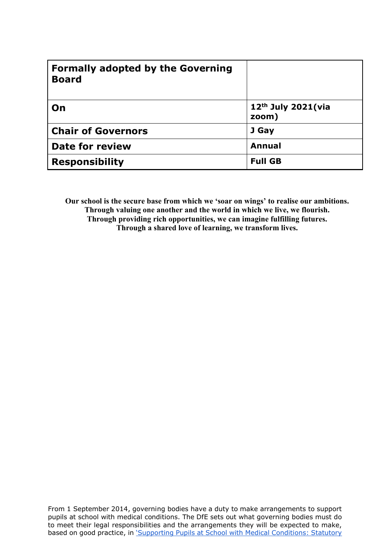| <b>Formally adopted by the Governing</b><br><b>Board</b> |                               |
|----------------------------------------------------------|-------------------------------|
| On                                                       | $12th$ July 2021(via<br>zoom) |
| <b>Chair of Governors</b>                                | J Gay                         |
| <b>Date for review</b>                                   | <b>Annual</b>                 |
| <b>Responsibility</b>                                    | <b>Full GB</b>                |

**Our school is the secure base from which we 'soar on wings' to realise our ambitions. Through valuing one another and the world in which we live, we flourish. Through providing rich opportunities, we can imagine fulfilling futures. Through a shared love of learning, we transform lives.**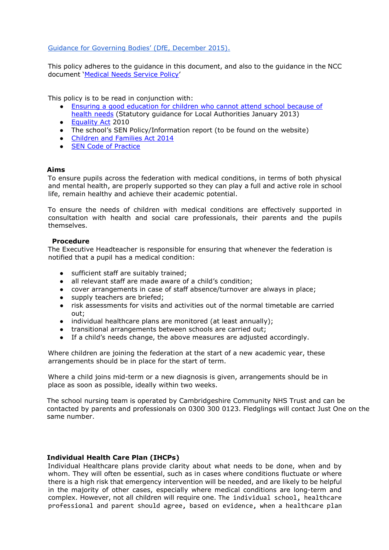[Guidance for Governing Bodies' \(DfE, December 2015\).](https://assets.publishing.service.gov.uk/government/uploads/system/uploads/attachment_data/file/803956/supporting-pupils-at-school-with-medical-conditions.pdf)

This policy adheres to the guidance in this document, and also to the guidance in the NCC document ['Medical Needs Service Policy'](https://www.norfolk.gov.uk/what-we-do-and-how-we-work/policy-performance-and-partnerships/policies-and-strategies/education-and-learning-policies/medical-needs-education-provision-policy)

This policy is to be read in conjunction with:

- [Ensuring a good education for children who cannot attend school because of](https://assets.publishing.service.gov.uk/government/uploads/system/uploads/attachment_data/file/269469/health_needs_guidance__-_revised_may_2013_final.pdf)
- [health needs](https://assets.publishing.service.gov.uk/government/uploads/system/uploads/attachment_data/file/269469/health_needs_guidance__-_revised_may_2013_final.pdf) [\(](https://assets.publishing.service.gov.uk/government/uploads/system/uploads/attachment_data/file/269469/health_needs_guidance__-_revised_may_2013_final.pdf)Statutory guidance for Local Authorities January 2013) • [Equality Act](https://www.gov.uk/guidance/equality-act-2010-guidance) [2](https://www.gov.uk/guidance/equality-act-2010-guidance)010
- The school's SEN Policy/Information report (to be found on the website)
- [Children and Families Act 2014](http://www.legislation.gov.uk/ukpga/2014/6/contents/enacted)
- [SEN Code of Practice](https://www.gov.uk/government/publications/send-code-of-practice-0-to-25)

## **Aims**

To ensure pupils across the federation with medical conditions, in terms of both physical and mental health, are properly supported so they can play a full and active role in school life, remain healthy and achieve their academic potential.

To ensure the needs of children with medical conditions are effectively supported in consultation with health and social care professionals, their parents and the pupils themselves.

## **Procedure**

The Executive Headteacher is responsible for ensuring that whenever the federation is notified that a pupil has a medical condition:

- sufficient staff are suitably trained;
- all relevant staff are made aware of a child's condition;
- cover arrangements in case of staff absence/turnover are always in place;<br>● sunnly teachers are briefed;
- supply teachers are briefed;
- risk assessments for visits and activities out of the normal timetable are carried out;
- individual healthcare plans are monitored (at least annually);
- transitional arrangements between schools are carried out;
- If a child's needs change, the above measures are adjusted accordingly.

Where children are joining the federation at the start of a new academic year, these arrangements should be in place for the start of term.

Where a child joins mid-term or a new diagnosis is given, arrangements should be in place as soon as possible, ideally within two weeks.

The school nursing team is operated by Cambridgeshire Community NHS Trust and can be contacted by parents and professionals on 0300 300 0123. Fledglings will contact Just One on the same number.

## **Individual Health Care Plan (IHCPs)**

Individual Healthcare plans provide clarity about what needs to be done, when and by whom. They will often be essential, such as in cases where conditions fluctuate or where there is a high risk that emergency intervention will be needed, and are likely to be helpful in the majority of other cases, especially where medical conditions are long-term and complex. However, not all children will require one. The individual school, healthcare professional and parent should agree, based on evidence, when a healthcare plan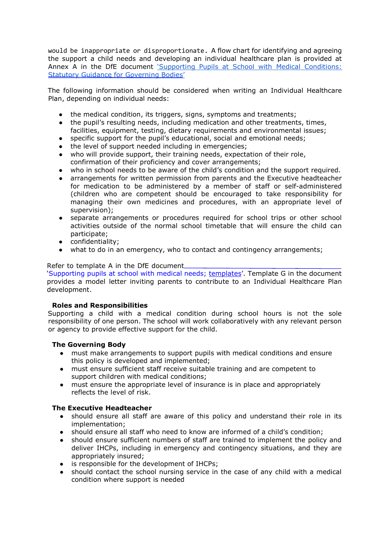would be inappropriate or disproportionate. A flow chart for identifying and agreeing the support a child needs and developing an individual healthcare plan is provided at Annex A in the DfE document 'Supporting Pupils at School with Medical Conditions: [Statutory Guidance for Governing Bodies'](https://assets.publishing.service.gov.uk/government/uploads/system/uploads/attachment_data/file/803956/supporting-pupils-at-school-with-medical-conditions.pdf)

The following information should be considered when writing an Individual Healthcare Plan, depending on individual needs:

- the medical condition, its triggers, signs, symptoms and treatments;
- the pupil's resulting needs, including medication and other treatments, times, facilities, equipment, testing, dietary requirements and environmental issues;
- specific support for the pupil's educational, social and emotional needs;
- the level of support needed including in emergencies;
- who will provide support, their training needs, expectation of their role, confirmation of their proficiency and cover arrangements;
- who in school needs to be aware of the child's condition and the support required.
- arrangements for written permission from parents and the Executive headteacher for medication to be administered by a member of staff or self-administered (children who are competent should be encouraged to take responsibility for managing their own medicines and procedures, with an appropriate level of supervision);
- separate arrangements or procedures required for school trips or other school activities outside of the normal school timetable that will ensure the child can participate;
- confidentiality;
- what to do in an emergency, who to contact and contingency arrangements;

## Refer to template A in the DfE document

['Supporting pupils at school with medical needs; templates'.](https://www.gov.uk/government/publications/supporting-pupils-at-school-with-medical-conditions--3) Template G in the document provides a model letter inviting parents to contribute to an Individual Healthcare Plan development.

## **Roles and Responsibilities**

Supporting a child with a medical condition during school hours is not the sole responsibility of one person. The school will work collaboratively with any relevant person or agency to provide effective support for the child.

## **The Governing Body**

- must make arrangements to support pupils with medical conditions and ensure this policy is developed and implemented;
- must ensure sufficient staff receive suitable training and are competent to support children with medical conditions;
- must ensure the appropriate level of insurance is in place and appropriately reflects the level of risk.

## **The Executive Headteacher**

- should ensure all staff are aware of this policy and understand their role in its implementation;
- should ensure all staff who need to know are informed of a child's condition;
- should ensure sufficient numbers of staff are trained to implement the policy and deliver IHCPs, including in emergency and contingency situations, and they are appropriately insured;
- is responsible for the development of IHCPs;
- should contact the school nursing service in the case of any child with a medical condition where support is needed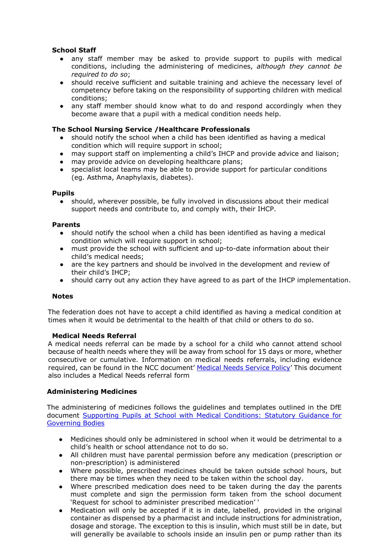## **School Staff**

- any staff member may be asked to provide support to pupils with medical conditions, including the administering of medicines, *although they cannot be required to do so*;
- should receive sufficient and suitable training and achieve the necessary level of competency before taking on the responsibility of supporting children with medical conditions;
- any staff member should know what to do and respond accordingly when they become aware that a pupil with a medical condition needs help.

## **The School Nursing Service /Healthcare Professionals**

- should notify the school when a child has been identified as having a medical condition which will require support in school;
- may support staff on implementing a child's IHCP and provide advice and liaison;
- may provide advice on developing healthcare plans;
- specialist local teams may be able to provide support for particular conditions (eg. Asthma, Anaphylaxis, diabetes).

## **Pupils**

● should, wherever possible, be fully involved in discussions about their medical support needs and contribute to, and comply with, their IHCP.

## **Parents**

- should notify the school when a child has been identified as having a medical condition which will require support in school;
- must provide the school with sufficient and up-to-date information about their child's medical needs;
- are the key partners and should be involved in the development and review of their child's IHCP;
- should carry out any action they have agreed to as part of the IHCP implementation.

## **Notes**

The federation does not have to accept a child identified as having a medical condition at times when it would be detrimental to the health of that child or others to do so.

## **Medical Needs Referral**

A medical needs referral can be made by a school for a child who cannot attend school because of health needs where they will be away from school for 15 days or more, whether consecutive or cumulative. Information on medical needs referrals, including evidence required, can be found in the NCC document' [Medical Needs Service Policy' T](http://www.schools.norfolk.gov.uk/view/NCC187706)his document also includes a Medical Needs referral form

## **Administering Medicines**

The administering of medicines follows the guidelines and templates outlined in the DfE document [Supporting Pupils at School with Medical Conditions: Statutory Guidance for](https://outlook.office.com/owa/?ae=Item&t=IPM.Note&id=RgAAAAAVWYbF2hr%2fSJNaejD2ADaPBwAd6jq0NjD0RrP0bm8NzFm9AAAAAAEMAAAd6jq0NjD0RrP0bm8NzFm9AAGgKRypAAAJ) [Governing Bodies](https://outlook.office.com/owa/?ae=Item&t=IPM.Note&id=RgAAAAAVWYbF2hr%2fSJNaejD2ADaPBwAd6jq0NjD0RrP0bm8NzFm9AAAAAAEMAAAd6jq0NjD0RrP0bm8NzFm9AAGgKRypAAAJ)

- Medicines should only be administered in school when it would be detrimental to a child's health or school attendance not to do so.
- All children must have parental permission before any medication (prescription or non-prescription) is administered
- Where possible, prescribed medicines should be taken outside school hours, but there may be times when they need to be taken within the school day.
- Where prescribed medication does need to be taken during the day the parents must complete and sign the permission form taken from the school document 'Request for school to administer prescribed medication' '
- Medication will only be accepted if it is in date, labelled, provided in the original container as dispensed by a pharmacist and include instructions for administration, dosage and storage. The exception to this is insulin, which must still be in date, but will generally be available to schools inside an insulin pen or pump rather than its